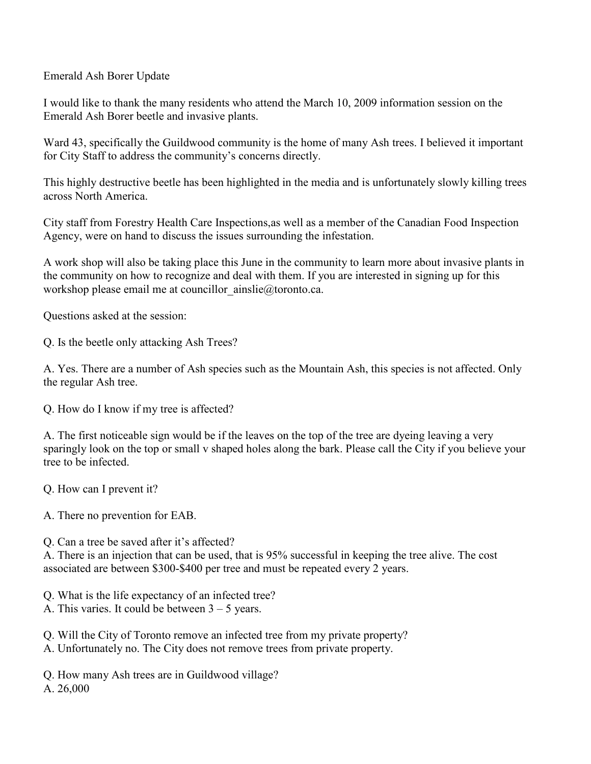Emerald Ash Borer Update

I would like to thank the many residents who attend the March 10, 2009 information session on the Emerald Ash Borer beetle and invasive plants.

Ward 43, specifically the Guildwood community is the home of many Ash trees. I believed it important for City Staff to address the community's concerns directly.

This highly destructive beetle has been highlighted in the media and is unfortunately slowly killing trees across North America.

City staff from Forestry Health Care Inspections,as well as a member of the Canadian Food Inspection Agency, were on hand to discuss the issues surrounding the infestation.

A work shop will also be taking place this June in the community to learn more about invasive plants in the community on how to recognize and deal with them. If you are interested in signing up for this workshop please email me at councillor ainslie@toronto.ca.

Questions asked at the session:

Q. Is the beetle only attacking Ash Trees?

A. Yes. There are a number of Ash species such as the Mountain Ash, this species is not affected. Only the regular Ash tree.

Q. How do I know if my tree is affected?

A. The first noticeable sign would be if the leaves on the top of the tree are dyeing leaving a very sparingly look on the top or small v shaped holes along the bark. Please call the City if you believe your tree to be infected.

Q. How can I prevent it?

A. There no prevention for EAB.

Q. Can a tree be saved after it's affected?

A. There is an injection that can be used, that is 95% successful in keeping the tree alive. The cost associated are between \$300-\$400 per tree and must be repeated every 2 years.

Q. What is the life expectancy of an infected tree?

A. This varies. It could be between  $3 - 5$  years.

Q. Will the City of Toronto remove an infected tree from my private property?

A. Unfortunately no. The City does not remove trees from private property.

Q. How many Ash trees are in Guildwood village?

A. 26,000